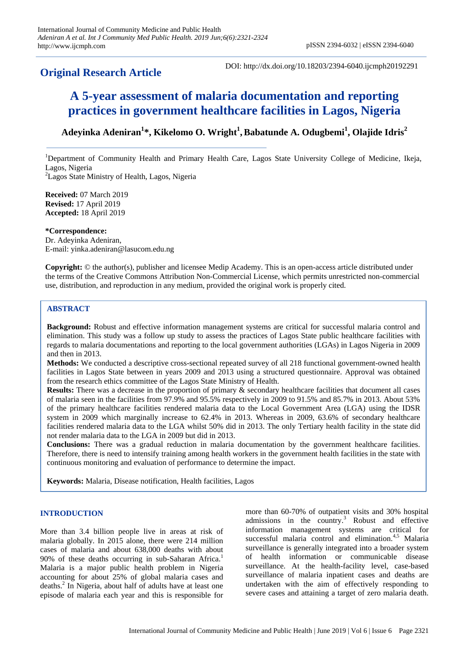# **Original Research Article**

DOI: http://dx.doi.org/10.18203/2394-6040.ijcmph20192291

# **A 5-year assessment of malaria documentation and reporting practices in government healthcare facilities in Lagos, Nigeria**

## **Adeyinka Adeniran<sup>1</sup> \*, Kikelomo O. Wright<sup>1</sup> ,Babatunde A. Odugbemi<sup>1</sup> , Olajide Idris<sup>2</sup>**

<sup>1</sup>Department of Community Health and Primary Health Care, Lagos State University College of Medicine, Ikeja, Lagos, Nigeria <sup>2</sup> Lagos State Ministry of Health, Lagos, Nigeria

**Received:** 07 March 2019 **Revised:** 17 April 2019 **Accepted:** 18 April 2019

**\*Correspondence:** Dr. Adeyinka Adeniran, E-mail: yinka.adeniran@lasucom.edu.ng

**Copyright:** © the author(s), publisher and licensee Medip Academy. This is an open-access article distributed under the terms of the Creative Commons Attribution Non-Commercial License, which permits unrestricted non-commercial use, distribution, and reproduction in any medium, provided the original work is properly cited.

### **ABSTRACT**

**Background:** Robust and effective information management systems are critical for successful malaria control and elimination. This study was a follow up study to assess the practices of Lagos State public healthcare facilities with regards to malaria documentations and reporting to the local government authorities (LGAs) in Lagos Nigeria in 2009 and then in 2013.

**Methods:** We conducted a descriptive cross-sectional repeated survey of all 218 functional government-owned health facilities in Lagos State between in years 2009 and 2013 using a structured questionnaire. Approval was obtained from the research ethics committee of the Lagos State Ministry of Health.

**Results:** There was a decrease in the proportion of primary & secondary healthcare facilities that document all cases of malaria seen in the facilities from 97.9% and 95.5% respectively in 2009 to 91.5% and 85.7% in 2013. About 53% of the primary healthcare facilities rendered malaria data to the Local Government Area (LGA) using the IDSR system in 2009 which marginally increase to 62.4% in 2013. Whereas in 2009, 63.6% of secondary healthcare facilities rendered malaria data to the LGA whilst 50% did in 2013. The only Tertiary health facility in the state did not render malaria data to the LGA in 2009 but did in 2013.

**Conclusions:** There was a gradual reduction in malaria documentation by the government healthcare facilities. Therefore, there is need to intensify training among health workers in the government health facilities in the state with continuous monitoring and evaluation of performance to determine the impact.

**Keywords:** Malaria, Disease notification, Health facilities, Lagos

#### **INTRODUCTION**

More than 3.4 billion people live in areas at risk of malaria globally. In 2015 alone, there were 214 million cases of malaria and about 638,000 deaths with about 90% of these deaths occurring in sub-Saharan Africa.<sup>1</sup> Malaria is a major public health problem in Nigeria accounting for about 25% of global malaria cases and deaths.<sup>2</sup> In Nigeria, about half of adults have at least one episode of malaria each year and this is responsible for more than 60-70% of outpatient visits and 30% hospital admissions in the country.<sup>3</sup> Robust and effective information management systems are critical for successful malaria control and elimination.<sup>4,5</sup> Malaria surveillance is generally integrated into a broader system of health information or communicable disease surveillance. At the health-facility level, case-based surveillance of malaria inpatient cases and deaths are undertaken with the aim of effectively responding to severe cases and attaining a target of zero malaria death.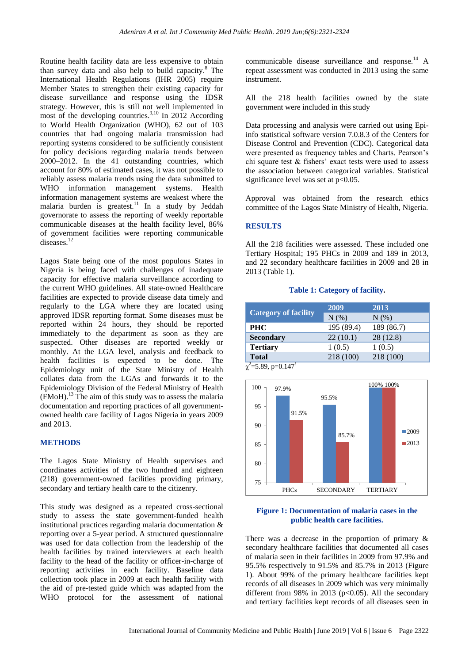Routine health facility data are less expensive to obtain than survey data and also help to build capacity. <sup>8</sup> The International Health Regulations (IHR 2005) require Member States to strengthen their existing capacity for disease surveillance and response using the IDSR strategy. However, this is still not well implemented in most of the developing countries.<sup>9,10</sup> In 2012 According to World Health Organization (WHO), 62 out of 103 countries that had ongoing malaria transmission had reporting systems considered to be sufficiently consistent for policy decisions regarding malaria trends between 2000–2012. In the 41 outstanding countries, which account for 80% of estimated cases, it was not possible to reliably assess malaria trends using the data submitted to WHO information management systems. Health information management systems are weakest where the malaria burden is greatest.<sup>11</sup> In a study by Jeddah governorate to assess the reporting of weekly reportable communicable diseases at the health facility level, 86% of government facilities were reporting communicable diseases.<sup>12</sup>

Lagos State being one of the most populous States in Nigeria is being faced with challenges of inadequate capacity for effective malaria surveillance according to the current WHO guidelines. All state-owned Healthcare facilities are expected to provide disease data timely and regularly to the LGA where they are located using approved IDSR reporting format. Some diseases must be reported within 24 hours, they should be reported immediately to the department as soon as they are suspected. Other diseases are reported weekly or monthly. At the LGA level, analysis and feedback to health facilities is expected to be done. The Epidemiology unit of the State Ministry of Health collates data from the LGAs and forwards it to the Epidemiology Division of the Federal Ministry of Health  $(FMoH).<sup>13</sup>$  The aim of this study was to assess the malaria documentation and reporting practices of all governmentowned health care facility of Lagos Nigeria in years 2009 and 2013.

#### **METHODS**

The Lagos State Ministry of Health supervises and coordinates activities of the two hundred and eighteen (218) government-owned facilities providing primary, secondary and tertiary health care to the citizenry.

This study was designed as a repeated cross-sectional study to assess the state government-funded health institutional practices regarding malaria documentation & reporting over a 5-year period. A structured questionnaire was used for data collection from the leadership of the health facilities by trained interviewers at each health facility to the head of the facility or officer-in-charge of reporting activities in each facility. Baseline data collection took place in 2009 at each health facility with the aid of pre-tested guide which was adapted from the WHO protocol for the assessment of national communicable disease surveillance and response.<sup>14</sup> A repeat assessment was conducted in 2013 using the same instrument.

All the 218 health facilities owned by the state government were included in this study

Data processing and analysis were carried out using Epiinfo statistical software version 7.0.8.3 of the Centers for Disease Control and Prevention (CDC). Categorical data were presented as frequency tables and Charts. Pearson's chi square test  $\&$  fishers' exact tests were used to assess the association between categorical variables. Statistical significance level was set at p<0.05.

Approval was obtained from the research ethics committee of the Lagos State Ministry of Health, Nigeria.

### **RESULTS**

All the 218 facilities were assessed. These included one Tertiary Hospital; 195 PHCs in 2009 and 189 in 2013, and 22 secondary healthcare facilities in 2009 and 28 in 2013 (Table 1).

#### **Table 1: Category of facility.**

| <b>Category of facility</b> | 2009       | 2013       |
|-----------------------------|------------|------------|
|                             | N(%)       | $N(\%)$    |
| <b>PHC</b>                  | 195 (89.4) | 189 (86.7) |
| <b>Secondary</b>            | 22(10.1)   | 28 (12.8)  |
| <b>Tertiary</b>             | 1(0.5)     | 1(0.5)     |
| <b>Total</b>                | 218 (100)  | 218 (100)  |

 $\chi^2$ =5.89, p=0.147<sup>!</sup>



#### **Figure 1: Documentation of malaria cases in the public health care facilities.**

There was a decrease in the proportion of primary & secondary healthcare facilities that documented all cases of malaria seen in their facilities in 2009 from 97.9% and 95.5% respectively to 91.5% and 85.7% in 2013 (Figure 1). About 99% of the primary healthcare facilities kept records of all diseases in 2009 which was very minimally different from 98% in 2013 ( $p<0.05$ ). All the secondary and tertiary facilities kept records of all diseases seen in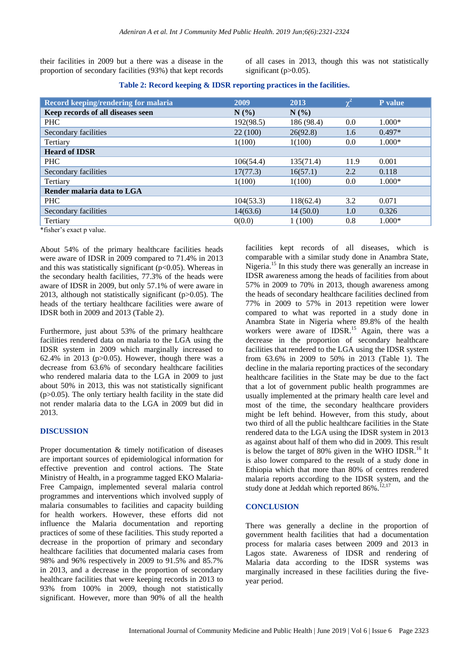their facilities in 2009 but a there was a disease in the proportion of secondary facilities (93%) that kept records

of all cases in 2013, though this was not statistically significant  $(p>0.05)$ .

**Table 2: Record keeping & IDSR reporting practices in the facilities.**

| Record keeping/rendering for malaria | 2009      | 2013       | $\chi^2$ | <b>P</b> value |
|--------------------------------------|-----------|------------|----------|----------------|
| Keep records of all diseases seen    | N(%       | N(%)       |          |                |
| <b>PHC</b>                           | 192(98.5) | 186 (98.4) | 0.0      | $1.000*$       |
| Secondary facilities                 | 22(100)   | 26(92.8)   | 1.6      | $0.497*$       |
| Tertiary                             | 1(100)    | 1(100)     | 0.0      | $1.000*$       |
| <b>Heard of IDSR</b>                 |           |            |          |                |
| <b>PHC</b>                           | 106(54.4) | 135(71.4)  | 11.9     | 0.001          |
| Secondary facilities                 | 17(77.3)  | 16(57.1)   | 2.2      | 0.118          |
| Tertiary                             | 1(100)    | 1(100)     | 0.0      | $1.000*$       |
| Render malaria data to LGA           |           |            |          |                |
| <b>PHC</b>                           | 104(53.3) | 118(62.4)  | 3.2      | 0.071          |
| Secondary facilities                 | 14(63.6)  | 14(50.0)   | 1.0      | 0.326          |
| Tertiary                             | 0(0.0)    | 1(100)     | 0.8      | $1.000*$       |

\*fisher's exact p value.

About 54% of the primary healthcare facilities heads were aware of IDSR in 2009 compared to 71.4% in 2013 and this was statistically significant  $(p<0.05)$ . Whereas in the secondary health facilities, 77.3% of the heads were aware of IDSR in 2009, but only 57.1% of were aware in 2013, although not statistically significant (p>0.05). The heads of the tertiary healthcare facilities were aware of IDSR both in 2009 and 2013 (Table 2).

Furthermore, just about 53% of the primary healthcare facilities rendered data on malaria to the LGA using the IDSR system in 2009 which marginally increased to 62.4% in 2013 ( $p > 0.05$ ). However, though there was a decrease from 63.6% of secondary healthcare facilities who rendered malaria data to the LGA in 2009 to just about 50% in 2013, this was not statistically significant  $(p>0.05)$ . The only tertiary health facility in the state did not render malaria data to the LGA in 2009 but did in 2013.

#### **DISCUSSION**

Proper documentation & timely notification of diseases are important sources of epidemiological information for effective prevention and control actions. The State Ministry of Health, in a programme tagged EKO Malaria-Free Campaign, implemented several malaria control programmes and interventions which involved supply of malaria consumables to facilities and capacity building for health workers. However, these efforts did not influence the Malaria documentation and reporting practices of some of these facilities. This study reported a decrease in the proportion of primary and secondary healthcare facilities that documented malaria cases from 98% and 96% respectively in 2009 to 91.5% and 85.7% in 2013, and a decrease in the proportion of secondary healthcare facilities that were keeping records in 2013 to 93% from 100% in 2009, though not statistically significant. However, more than 90% of all the health facilities kept records of all diseases, which is comparable with a similar study done in Anambra State, Nigeria.<sup>15</sup> In this study there was generally an increase in IDSR awareness among the heads of facilities from about 57% in 2009 to 70% in 2013, though awareness among the heads of secondary healthcare facilities declined from 77% in 2009 to 57% in 2013 repetition were lower compared to what was reported in a study done in Anambra State in Nigeria where 89.8% of the health workers were aware of IDSR.<sup>15</sup> Again, there was a decrease in the proportion of secondary healthcare facilities that rendered to the LGA using the IDSR system from 63.6% in 2009 to 50% in 2013 (Table 1). The decline in the malaria reporting practices of the secondary healthcare facilities in the State may be due to the fact that a lot of government public health programmes are usually implemented at the primary health care level and most of the time, the secondary healthcare providers might be left behind. However, from this study, about two third of all the public healthcare facilities in the State rendered data to the LGA using the IDSR system in 2013 as against about half of them who did in 2009. This result is below the target of 80% given in the WHO IDSR.<sup>16</sup> It is also lower compared to the result of a study done in Ethiopia which that more than 80% of centres rendered malaria reports according to the IDSR system, and the study done at Jeddah which reported 86%.<sup>12,17</sup>

## **CONCLUSION**

There was generally a decline in the proportion of government health facilities that had a documentation process for malaria cases between 2009 and 2013 in Lagos state. Awareness of IDSR and rendering of Malaria data according to the IDSR systems was marginally increased in these facilities during the fiveyear period.